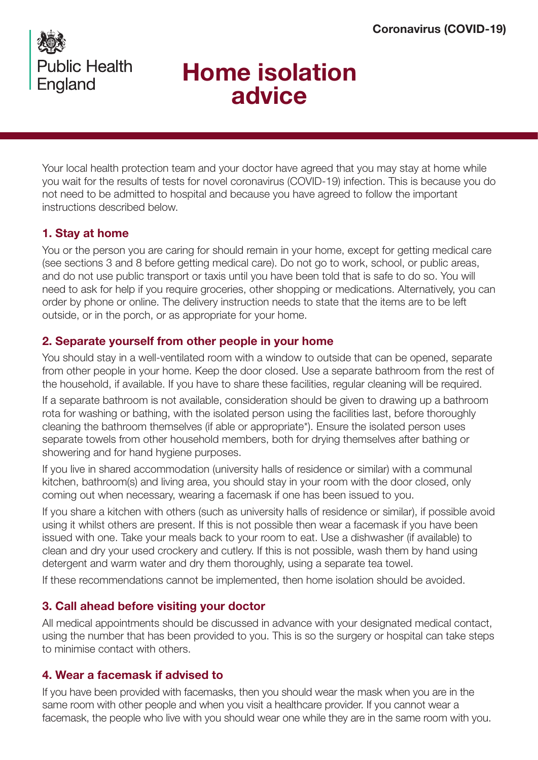

# Home isolation advice

Your local health protection team and your doctor have agreed that you may stay at home while you wait for the results of tests for novel coronavirus (COVID-19) infection. This is because you do not need to be admitted to hospital and because you have agreed to follow the important instructions described below.

# 1. Stay at home

You or the person you are caring for should remain in your home, except for getting medical care (see sections 3 and 8 before getting medical care). Do not go to work, school, or public areas, and do not use public transport or taxis until you have been told that is safe to do so. You will need to ask for help if you require groceries, other shopping or medications. Alternatively, you can order by phone or online. The delivery instruction needs to state that the items are to be left outside, or in the porch, or as appropriate for your home.

# 2. Separate yourself from other people in your home

You should stay in a well-ventilated room with a window to outside that can be opened, separate from other people in your home. Keep the door closed. Use a separate bathroom from the rest of the household, if available. If you have to share these facilities, regular cleaning will be required.

If a separate bathroom is not available, consideration should be given to drawing up a bathroom rota for washing or bathing, with the isolated person using the facilities last, before thoroughly cleaning the bathroom themselves (if able or appropriate\*). Ensure the isolated person uses separate towels from other household members, both for drying themselves after bathing or showering and for hand hygiene purposes.

If you live in shared accommodation (university halls of residence or similar) with a communal kitchen, bathroom(s) and living area, you should stay in your room with the door closed, only coming out when necessary, wearing a facemask if one has been issued to you.

If you share a kitchen with others (such as university halls of residence or similar), if possible avoid using it whilst others are present. If this is not possible then wear a facemask if you have been issued with one. Take your meals back to your room to eat. Use a dishwasher (if available) to clean and dry your used crockery and cutlery. If this is not possible, wash them by hand using detergent and warm water and dry them thoroughly, using a separate tea towel.

If these recommendations cannot be implemented, then home isolation should be avoided.

## 3. Call ahead before visiting your doctor

All medical appointments should be discussed in advance with your designated medical contact, using the number that has been provided to you. This is so the surgery or hospital can take steps to minimise contact with others.

## 4. Wear a facemask if advised to

If you have been provided with facemasks, then you should wear the mask when you are in the same room with other people and when you visit a healthcare provider. If you cannot wear a facemask, the people who live with you should wear one while they are in the same room with you.